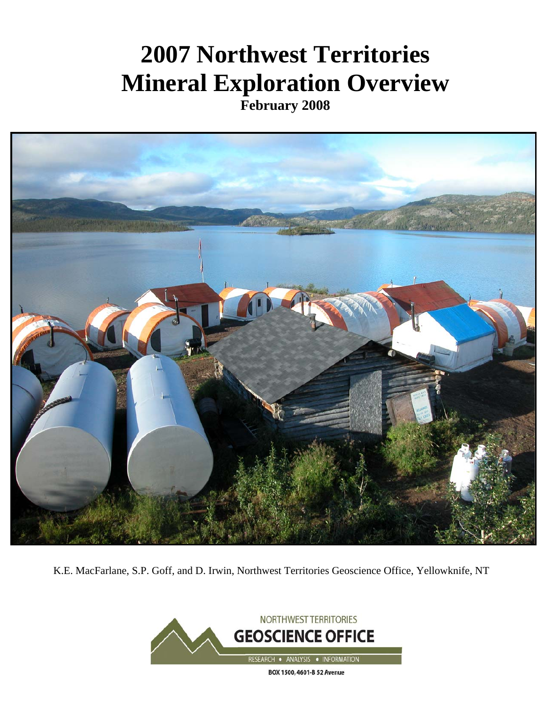# **2007 Northwest Territories Mineral Exploration Overview**

**February 2008** 



K.E. MacFarlane, S.P. Goff, and D. Irwin, Northwest Territories Geoscience Office, Yellowknife, NT

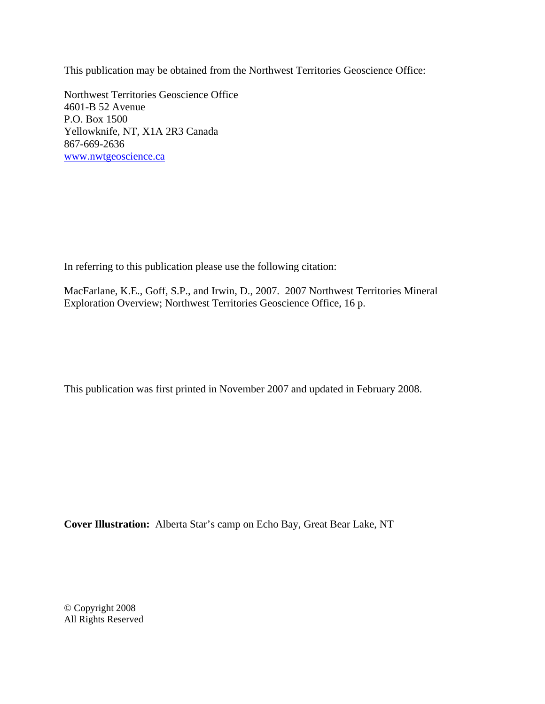This publication may be obtained from the Northwest Territories Geoscience Office:

Northwest Territories Geoscience Office 4601-B 52 Avenue P.O. Box 1500 Yellowknife, NT, X1A 2R3 Canada 867-669-2636 www.nwtgeoscience.ca

In referring to this publication please use the following citation:

MacFarlane, K.E., Goff, S.P., and Irwin, D., 2007. 2007 Northwest Territories Mineral Exploration Overview; Northwest Territories Geoscience Office, 16 p.

This publication was first printed in November 2007 and updated in February 2008.

**Cover Illustration:** Alberta Star's camp on Echo Bay, Great Bear Lake, NT

© Copyright 2008 All Rights Reserved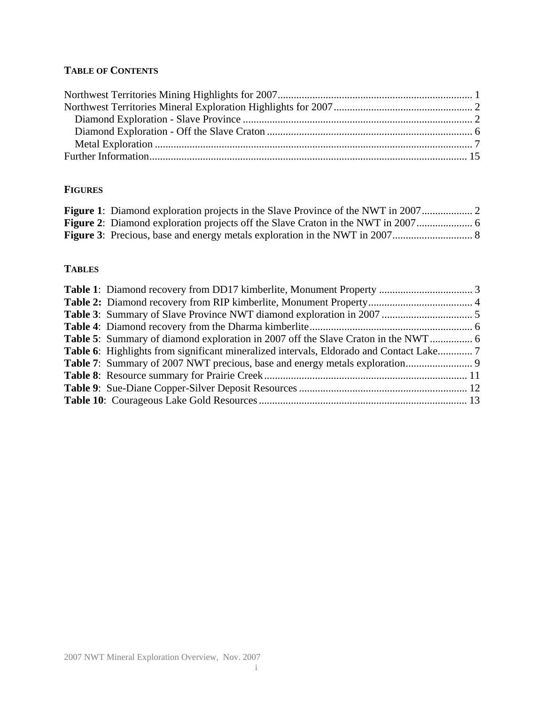# **TABLE OF CONTENTS**

## **FIGURES**

# **TABLES**

| Table 6: Highlights from significant mineralized intervals, Eldorado and Contact Lake 7 |
|-----------------------------------------------------------------------------------------|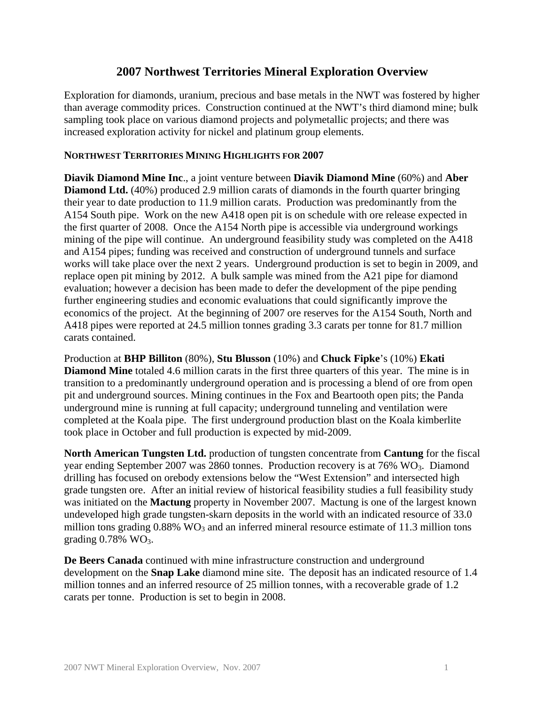# **2007 Northwest Territories Mineral Exploration Overview**

Exploration for diamonds, uranium, precious and base metals in the NWT was fostered by higher than average commodity prices. Construction continued at the NWT's third diamond mine; bulk sampling took place on various diamond projects and polymetallic projects; and there was increased exploration activity for nickel and platinum group elements.

#### **NORTHWEST TERRITORIES MINING HIGHLIGHTS FOR 2007**

**Diavik Diamond Mine Inc**., a joint venture between **Diavik Diamond Mine** (60%) and **Aber Diamond Ltd.** (40%) produced 2.9 million carats of diamonds in the fourth quarter bringing their year to date production to 11.9 million carats. Production was predominantly from the A154 South pipe. Work on the new A418 open pit is on schedule with ore release expected in the first quarter of 2008. Once the A154 North pipe is accessible via underground workings mining of the pipe will continue. An underground feasibility study was completed on the A418 and A154 pipes; funding was received and construction of underground tunnels and surface works will take place over the next 2 years. Underground production is set to begin in 2009, and replace open pit mining by 2012. A bulk sample was mined from the A21 pipe for diamond evaluation; however a decision has been made to defer the development of the pipe pending further engineering studies and economic evaluations that could significantly improve the economics of the project. At the beginning of 2007 ore reserves for the A154 South, North and A418 pipes were reported at 24.5 million tonnes grading 3.3 carats per tonne for 81.7 million carats contained.

Production at **BHP Billiton** (80%), **Stu Blusson** (10%) and **Chuck Fipke**'s (10%) **Ekati Diamond Mine** totaled 4.6 million carats in the first three quarters of this year. The mine is in transition to a predominantly underground operation and is processing a blend of ore from open pit and underground sources. Mining continues in the Fox and Beartooth open pits; the Panda underground mine is running at full capacity; underground tunneling and ventilation were completed at the Koala pipe. The first underground production blast on the Koala kimberlite took place in October and full production is expected by mid-2009.

**North American Tungsten Ltd.** production of tungsten concentrate from **Cantung** for the fiscal year ending September 2007 was 2860 tonnes. Production recovery is at  $76\%$  WO<sub>3</sub>. Diamond drilling has focused on orebody extensions below the "West Extension" and intersected high grade tungsten ore. After an initial review of historical feasibility studies a full feasibility study was initiated on the **Mactung** property in November 2007. Mactung is one of the largest known undeveloped high grade tungsten-skarn deposits in the world with an indicated resource of 33.0 million tons grading  $0.88\%$  WO<sub>3</sub> and an inferred mineral resource estimate of 11.3 million tons grading  $0.78\%$  WO<sub>3</sub>.

**De Beers Canada** continued with mine infrastructure construction and underground development on the **Snap Lake** diamond mine site. The deposit has an indicated resource of 1.4 million tonnes and an inferred resource of 25 million tonnes, with a recoverable grade of 1.2 carats per tonne. Production is set to begin in 2008.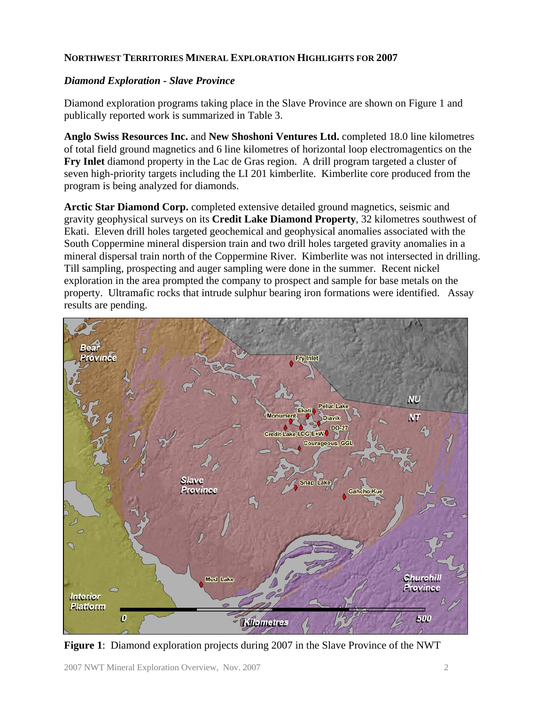## **NORTHWEST TERRITORIES MINERAL EXPLORATION HIGHLIGHTS FOR 2007**

## *Diamond Exploration - Slave Province*

Diamond exploration programs taking place in the Slave Province are shown on Figure 1 and publically reported work is summarized in Table 3.

**Anglo Swiss Resources Inc.** and **New Shoshoni Ventures Ltd.** completed 18.0 line kilometres of total field ground magnetics and 6 line kilometres of horizontal loop electromagentics on the **Fry Inlet** diamond property in the Lac de Gras region. A drill program targeted a cluster of seven high-priority targets including the LI 201 kimberlite. Kimberlite core produced from the program is being analyzed for diamonds.

**Arctic Star Diamond Corp.** completed extensive detailed ground magnetics, seismic and gravity geophysical surveys on its **Credit Lake Diamond Property**, 32 kilometres southwest of Ekati. Eleven drill holes targeted geochemical and geophysical anomalies associated with the South Coppermine mineral dispersion train and two drill holes targeted gravity anomalies in a mineral dispersal train north of the Coppermine River. Kimberlite was not intersected in drilling. Till sampling, prospecting and auger sampling were done in the summer. Recent nickel exploration in the area prompted the company to prospect and sample for base metals on the property. Ultramafic rocks that intrude sulphur bearing iron formations were identified. Assay results are pending.



**Figure 1**: Diamond exploration projects during 2007 in the Slave Province of the NWT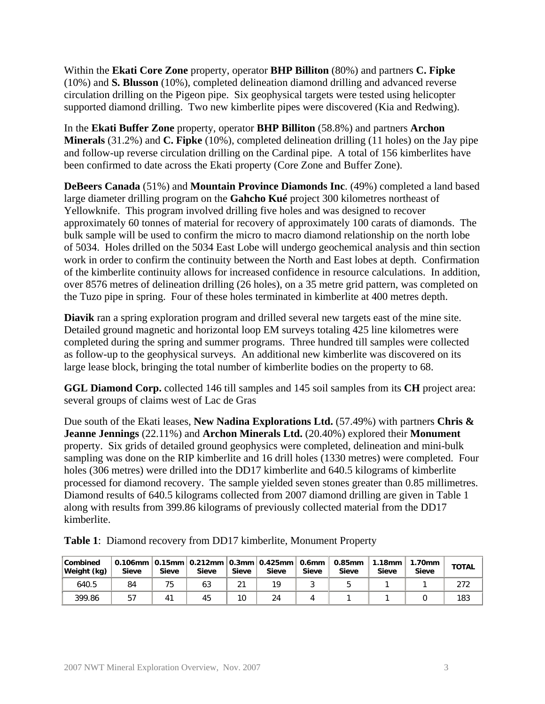Within the **Ekati Core Zone** property, operator **BHP Billiton** (80%) and partners **C. Fipke** (10%) and **S. Blusson** (10%), completed delineation diamond drilling and advanced reverse circulation drilling on the Pigeon pipe. Six geophysical targets were tested using helicopter supported diamond drilling. Two new kimberlite pipes were discovered (Kia and Redwing).

In the **Ekati Buffer Zone** property, operator **BHP Billiton** (58.8%) and partners **Archon Minerals** (31.2%) and **C. Fipke** (10%), completed delineation drilling (11 holes) on the Jay pipe and follow-up reverse circulation drilling on the Cardinal pipe. A total of 156 kimberlites have been confirmed to date across the Ekati property (Core Zone and Buffer Zone).

**DeBeers Canada** (51%) and **Mountain Province Diamonds Inc**. (49%) completed a land based large diameter drilling program on the **Gahcho Kué** project 300 kilometres northeast of Yellowknife. This program involved drilling five holes and was designed to recover approximately 60 tonnes of material for recovery of approximately 100 carats of diamonds. The bulk sample will be used to confirm the micro to macro diamond relationship on the north lobe of 5034. Holes drilled on the 5034 East Lobe will undergo geochemical analysis and thin section work in order to confirm the continuity between the North and East lobes at depth. Confirmation of the kimberlite continuity allows for increased confidence in resource calculations. In addition, over 8576 metres of delineation drilling (26 holes), on a 35 metre grid pattern, was completed on the Tuzo pipe in spring. Four of these holes terminated in kimberlite at 400 metres depth.

**Diavik** ran a spring exploration program and drilled several new targets east of the mine site. Detailed ground magnetic and horizontal loop EM surveys totaling 425 line kilometres were completed during the spring and summer programs. Three hundred till samples were collected as follow-up to the geophysical surveys. An additional new kimberlite was discovered on its large lease block, bringing the total number of kimberlite bodies on the property to 68.

**GGL Diamond Corp.** collected 146 till samples and 145 soil samples from its **CH** project area: several groups of claims west of Lac de Gras

Due south of the Ekati leases, **New Nadina Explorations Ltd.** (57.49%) with partners **Chris & Jeanne Jennings** (22.11%) and **Archon Minerals Ltd.** (20.40%) explored their **Monument** property. Six grids of detailed ground geophysics were completed, delineation and mini-bulk sampling was done on the RIP kimberlite and 16 drill holes (1330 metres) were completed. Four holes (306 metres) were drilled into the DD17 kimberlite and 640.5 kilograms of kimberlite processed for diamond recovery. The sample yielded seven stones greater than 0.85 millimetres. Diamond results of 640.5 kilograms collected from 2007 diamond drilling are given in Table 1 along with results from 399.86 kilograms of previously collected material from the DD17 kimberlite.

| Combined<br>Weight (kg) | <b>Sieve</b> | <b>Sieve</b> | 0.106mm $\vert$ 0.15mm $\vert$ 0.212mm $\vert$ 0.3mm $\vert$ 0.425mm $\vert$<br><b>Sieve</b> | Sieve | <b>Sieve</b> | 0.6mm  <br><b>Sieve</b> | 0.85mm<br><b>Sieve</b> | $1.18$ mm<br><b>Sieve</b> | 1.70mm<br><b>Sieve</b> | <b>TOTAL</b> |
|-------------------------|--------------|--------------|----------------------------------------------------------------------------------------------|-------|--------------|-------------------------|------------------------|---------------------------|------------------------|--------------|
| 640.5                   | 84           | 75           | 63                                                                                           | ኅ1    | 19           |                         |                        |                           |                        |              |
| 399.86                  | 57           | 41           | 45                                                                                           | 10    | 24           |                         |                        |                           |                        | 183          |

**Table 1**: Diamond recovery from DD17 kimberlite, Monument Property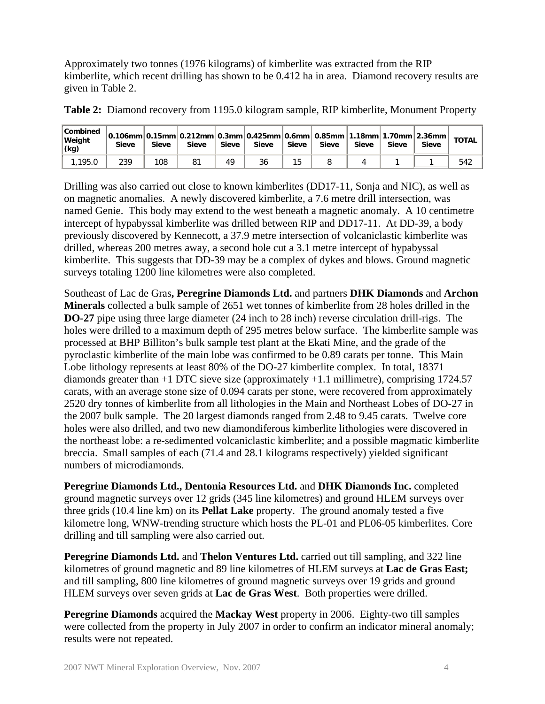Approximately two tonnes (1976 kilograms) of kimberlite was extracted from the RIP kimberlite, which recent drilling has shown to be 0.412 ha in area. Diamond recovery results are given in Table 2.

| <b>Combined</b><br>Weight<br>(kg) | $\vert 0.106$ mm $\vert 0.15$ mm $\vert 0.212$ mm $\vert 0.3$ mm $\vert 0.425$ mm $\vert 0.6$ mm $\vert 0.85$ mm $\vert 1.18$ mm $\vert 1.70$ mm $\vert 2.36$ mm $\vert$<br><b>Sieve</b> | <b>Sieve</b> | <b>Sieve</b> | Sieve | <b>Sieve</b> | <b>Sieve</b> | <b>Sieve</b> | Sieve | <b>Sieve</b> | Sieve | <b>TOTAL</b> |
|-----------------------------------|------------------------------------------------------------------------------------------------------------------------------------------------------------------------------------------|--------------|--------------|-------|--------------|--------------|--------------|-------|--------------|-------|--------------|
| 1,195.0                           | 239                                                                                                                                                                                      | 108          | 81           | 49    | 36           | 15           |              |       |              |       | 542          |

**Table 2:** Diamond recovery from 1195.0 kilogram sample, RIP kimberlite, Monument Property

Drilling was also carried out close to known kimberlites (DD17-11, Sonja and NIC), as well as on magnetic anomalies. A newly discovered kimberlite, a 7.6 metre drill intersection, was named Genie. This body may extend to the west beneath a magnetic anomaly. A 10 centimetre intercept of hypabyssal kimberlite was drilled between RIP and DD17-11. At DD-39, a body previously discovered by Kennecott, a 37.9 metre intersection of volcaniclastic kimberlite was drilled, whereas 200 metres away, a second hole cut a 3.1 metre intercept of hypabyssal kimberlite. This suggests that DD-39 may be a complex of dykes and blows. Ground magnetic surveys totaling 1200 line kilometres were also completed.

Southeast of Lac de Gras**, Peregrine Diamonds Ltd.** and partners **DHK Diamonds** and **Archon Minerals** collected a bulk sample of 2651 wet tonnes of kimberlite from 28 holes drilled in the **DO-27** pipe using three large diameter (24 inch to 28 inch) reverse circulation drill-rigs. The holes were drilled to a maximum depth of 295 metres below surface. The kimberlite sample was processed at BHP Billiton's bulk sample test plant at the Ekati Mine, and the grade of the pyroclastic kimberlite of the main lobe was confirmed to be 0.89 carats per tonne. This Main Lobe lithology represents at least 80% of the DO-27 kimberlite complex. In total, 18371 diamonds greater than +1 DTC sieve size (approximately +1.1 millimetre), comprising 1724.57 carats, with an average stone size of 0.094 carats per stone, were recovered from approximately 2520 dry tonnes of kimberlite from all lithologies in the Main and Northeast Lobes of DO-27 in the 2007 bulk sample. The 20 largest diamonds ranged from 2.48 to 9.45 carats. Twelve core holes were also drilled, and two new diamondiferous kimberlite lithologies were discovered in the northeast lobe: a re-sedimented volcaniclastic kimberlite; and a possible magmatic kimberlite breccia. Small samples of each (71.4 and 28.1 kilograms respectively) yielded significant numbers of microdiamonds.

**Peregrine Diamonds Ltd., Dentonia Resources Ltd.** and **DHK Diamonds Inc.** completed ground magnetic surveys over 12 grids (345 line kilometres) and ground HLEM surveys over three grids (10.4 line km) on its **Pellat Lake** property. The ground anomaly tested a five kilometre long, WNW-trending structure which hosts the PL-01 and PL06-05 kimberlites. Core drilling and till sampling were also carried out.

**Peregrine Diamonds Ltd.** and **Thelon Ventures Ltd.** carried out till sampling, and 322 line kilometres of ground magnetic and 89 line kilometres of HLEM surveys at **Lac de Gras East;** and till sampling, 800 line kilometres of ground magnetic surveys over 19 grids and ground HLEM surveys over seven grids at **Lac de Gras West**. Both properties were drilled.

**Peregrine Diamonds** acquired the **Mackay West** property in 2006. Eighty-two till samples were collected from the property in July 2007 in order to confirm an indicator mineral anomaly; results were not repeated.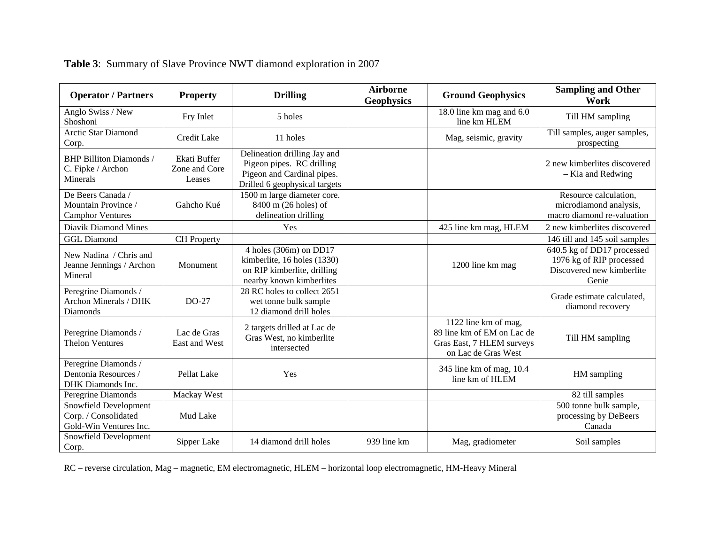| <b>Operator / Partners</b>                                              | <b>Property</b>                         | <b>Drilling</b>                                                                                                               | <b>Airborne</b><br><b>Geophysics</b> | <b>Ground Geophysics</b>                                                                               | <b>Sampling and Other</b><br>Work                                                            |
|-------------------------------------------------------------------------|-----------------------------------------|-------------------------------------------------------------------------------------------------------------------------------|--------------------------------------|--------------------------------------------------------------------------------------------------------|----------------------------------------------------------------------------------------------|
| Anglo Swiss / New<br>Shoshoni                                           | Fry Inlet                               | 5 holes                                                                                                                       |                                      | 18.0 line km mag and 6.0<br>line km HLEM                                                               | Till HM sampling                                                                             |
| <b>Arctic Star Diamond</b><br>Corp.                                     | Credit Lake                             | 11 holes                                                                                                                      |                                      | Mag, seismic, gravity                                                                                  | Till samples, auger samples,<br>prospecting                                                  |
| <b>BHP Billiton Diamonds /</b><br>C. Fipke / Archon<br>Minerals         | Ekati Buffer<br>Zone and Core<br>Leases | Delineation drilling Jay and<br>Pigeon pipes. RC drilling<br>Pigeon and Cardinal pipes.<br>Drilled 6 geophysical targets      |                                      |                                                                                                        | 2 new kimberlites discovered<br>- Kia and Redwing                                            |
| De Beers Canada /<br>Mountain Province /<br><b>Camphor Ventures</b>     | Gahcho Kué                              | 1500 m large diameter core.<br>8400 m (26 holes) of<br>delineation drilling                                                   |                                      |                                                                                                        | Resource calculation,<br>microdiamond analysis,<br>macro diamond re-valuation                |
| Diavik Diamond Mines                                                    |                                         | Yes                                                                                                                           |                                      | 425 line km mag, HLEM                                                                                  | 2 new kimberlites discovered                                                                 |
| <b>GGL Diamond</b>                                                      | <b>CH</b> Property                      |                                                                                                                               |                                      |                                                                                                        | 146 till and 145 soil samples                                                                |
| New Nadina / Chris and<br>Jeanne Jennings / Archon<br>Mineral           | Monument                                | $\overline{4}$ holes (306m) on DD17<br>kimberlite, 16 holes (1330)<br>on RIP kimberlite, drilling<br>nearby known kimberlites |                                      | 1200 line km mag                                                                                       | 640.5 kg of DD17 processed<br>1976 kg of RIP processed<br>Discovered new kimberlite<br>Genie |
| Peregrine Diamonds /<br>Archon Minerals / DHK<br><b>Diamonds</b>        | $DO-27$                                 | 28 RC holes to collect 2651<br>wet tonne bulk sample<br>12 diamond drill holes                                                |                                      |                                                                                                        | Grade estimate calculated,<br>diamond recovery                                               |
| Peregrine Diamonds /<br><b>Thelon Ventures</b>                          | Lac de Gras<br>East and West            | 2 targets drilled at Lac de<br>Gras West, no kimberlite<br>intersected                                                        |                                      | 1122 line km of mag,<br>89 line km of EM on Lac de<br>Gras East, 7 HLEM surveys<br>on Lac de Gras West | Till HM sampling                                                                             |
| Peregrine Diamonds /<br>Dentonia Resources /<br>DHK Diamonds Inc.       | Pellat Lake                             | Yes                                                                                                                           |                                      | 345 line km of mag, 10.4<br>line km of HLEM                                                            | HM sampling                                                                                  |
| Peregrine Diamonds                                                      | Mackay West                             |                                                                                                                               |                                      |                                                                                                        | 82 till samples                                                                              |
| Snowfield Development<br>Corp. / Consolidated<br>Gold-Win Ventures Inc. | Mud Lake                                |                                                                                                                               |                                      |                                                                                                        | 500 tonne bulk sample,<br>processing by DeBeers<br>Canada                                    |
| Snowfield Development<br>Corp.                                          | Sipper Lake                             | 14 diamond drill holes                                                                                                        | 939 line km                          | Mag, gradiometer                                                                                       | Soil samples                                                                                 |

**Table 3**: Summary of Slave Province NWT diamond exploration in 2007

RC – reverse circulation, Mag – magnetic, EM electromagnetic, HLEM – horizontal loop electromagnetic, HM-Heavy Mineral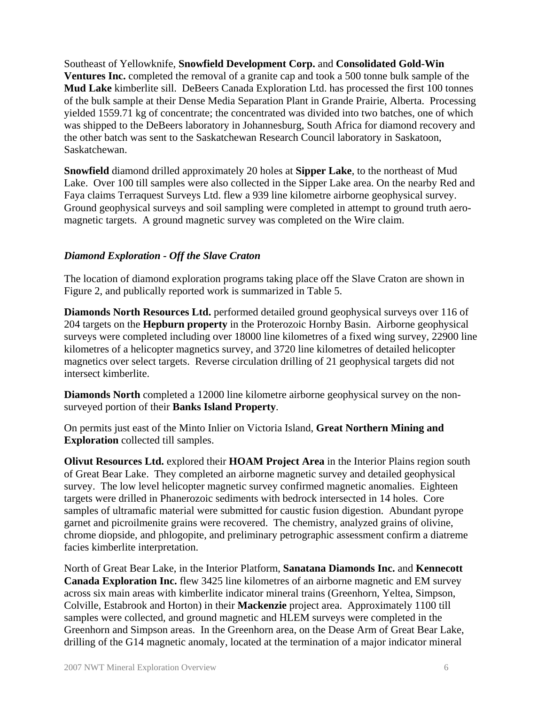Southeast of Yellowknife, **Snowfield Development Corp.** and **Consolidated Gold-Win Ventures Inc.** completed the removal of a granite cap and took a 500 tonne bulk sample of the **Mud Lake** kimberlite sill. DeBeers Canada Exploration Ltd. has processed the first 100 tonnes of the bulk sample at their Dense Media Separation Plant in Grande Prairie, Alberta. Processing yielded 1559.71 kg of concentrate; the concentrated was divided into two batches, one of which was shipped to the DeBeers laboratory in Johannesburg, South Africa for diamond recovery and the other batch was sent to the Saskatchewan Research Council laboratory in Saskatoon, Saskatchewan.

**Snowfield** diamond drilled approximately 20 holes at **Sipper Lake**, to the northeast of Mud Lake. Over 100 till samples were also collected in the Sipper Lake area. On the nearby Red and Faya claims Terraquest Surveys Ltd. flew a 939 line kilometre airborne geophysical survey. Ground geophysical surveys and soil sampling were completed in attempt to ground truth aeromagnetic targets. A ground magnetic survey was completed on the Wire claim.

#### *Diamond Exploration - Off the Slave Craton*

The location of diamond exploration programs taking place off the Slave Craton are shown in Figure 2, and publically reported work is summarized in Table 5.

**Diamonds North Resources Ltd.** performed detailed ground geophysical surveys over 116 of 204 targets on the **Hepburn property** in the Proterozoic Hornby Basin. Airborne geophysical surveys were completed including over 18000 line kilometres of a fixed wing survey, 22900 line kilometres of a helicopter magnetics survey, and 3720 line kilometres of detailed helicopter magnetics over select targets. Reverse circulation drilling of 21 geophysical targets did not intersect kimberlite.

**Diamonds North** completed a 12000 line kilometre airborne geophysical survey on the nonsurveyed portion of their **Banks Island Property**.

On permits just east of the Minto Inlier on Victoria Island, **Great Northern Mining and Exploration** collected till samples.

**Olivut Resources Ltd.** explored their **HOAM Project Area** in the Interior Plains region south of Great Bear Lake. They completed an airborne magnetic survey and detailed geophysical survey. The low level helicopter magnetic survey confirmed magnetic anomalies. Eighteen targets were drilled in Phanerozoic sediments with bedrock intersected in 14 holes. Core samples of ultramafic material were submitted for caustic fusion digestion. Abundant pyrope garnet and picroilmenite grains were recovered. The chemistry, analyzed grains of olivine, chrome diopside, and phlogopite, and preliminary petrographic assessment confirm a diatreme facies kimberlite interpretation.

North of Great Bear Lake, in the Interior Platform, **Sanatana Diamonds Inc.** and **Kennecott Canada Exploration Inc.** flew 3425 line kilometres of an airborne magnetic and EM survey across six main areas with kimberlite indicator mineral trains (Greenhorn, Yeltea, Simpson, Colville, Estabrook and Horton) in their **Mackenzie** project area. Approximately 1100 till samples were collected, and ground magnetic and HLEM surveys were completed in the Greenhorn and Simpson areas. In the Greenhorn area, on the Dease Arm of Great Bear Lake, drilling of the G14 magnetic anomaly, located at the termination of a major indicator mineral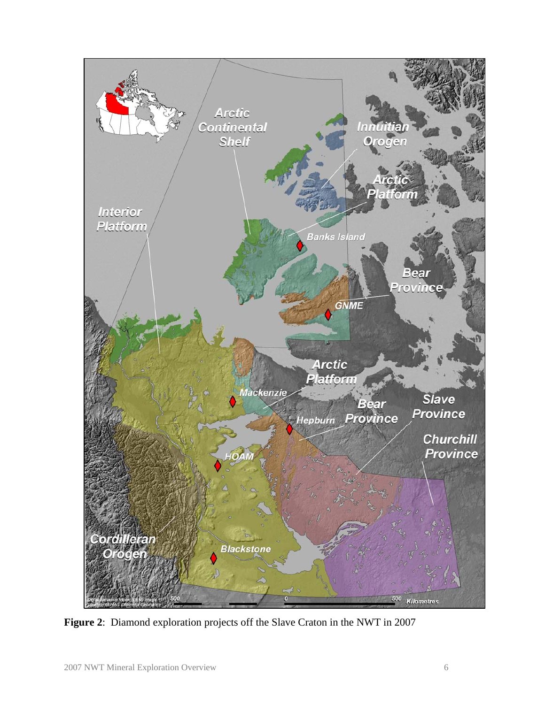

**Figure 2**: Diamond exploration projects off the Slave Craton in the NWT in 2007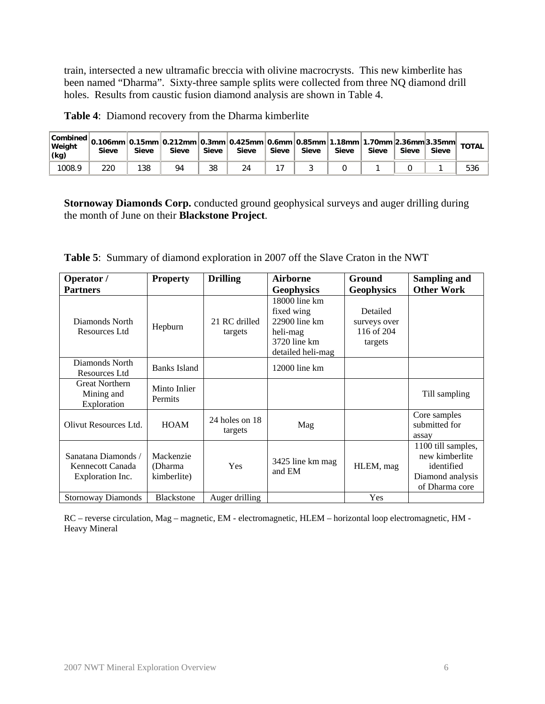train, intersected a new ultramafic breccia with olivine macrocrysts. This new kimberlite has been named "Dharma". Sixty-three sample splits were collected from three NQ diamond drill holes. Results from caustic fusion diamond analysis are shown in Table 4.

| $ \textsf{Combined} $ 0.106mm $ \textsf{0.15mm} $ 0.212mm $ \textsf{0.3mm} $ 0.425mm $ \textsf{0.6mm} $ 0.85mm $ 1.18$ mm $ 1.70$ mm $ 2.36$ mm $ 3.35$ mm $ $<br>Weight<br>(kq) | <b>Sieve</b> | <b>Sieve</b> | Sieve | <b>Sieve</b> | <b>Sieve</b> | Sieve | Sieve | Sieve | Sieve | Sieve | <b>Sieve</b> | <b>TOTAL</b> |
|----------------------------------------------------------------------------------------------------------------------------------------------------------------------------------|--------------|--------------|-------|--------------|--------------|-------|-------|-------|-------|-------|--------------|--------------|
| 1008.9                                                                                                                                                                           | 220          | 138          | 94    | 38           | 24           |       |       |       |       |       |              | 536          |

**Table 4**: Diamond recovery from the Dharma kimberlite

**Stornoway Diamonds Corp.** conducted ground geophysical surveys and auger drilling during the month of June on their **Blackstone Project**.

|  | <b>Table 5:</b> Summary of diamond exploration in 2007 off the Slave Craton in the NWT |  |  |  |  |  |  |
|--|----------------------------------------------------------------------------------------|--|--|--|--|--|--|
|--|----------------------------------------------------------------------------------------|--|--|--|--|--|--|

| Operator /                                                  | <b>Property</b>                      | <b>Drilling</b>             | Airborne                                                                                          | <b>Ground</b>                                     | <b>Sampling and</b>                                                                      |
|-------------------------------------------------------------|--------------------------------------|-----------------------------|---------------------------------------------------------------------------------------------------|---------------------------------------------------|------------------------------------------------------------------------------------------|
| <b>Partners</b>                                             |                                      |                             | <b>Geophysics</b>                                                                                 | <b>Geophysics</b>                                 | <b>Other Work</b>                                                                        |
| Diamonds North<br>Resources Ltd                             | Hepburn                              | 21 RC drilled<br>targets    | $18000$ line km<br>fixed wing<br>$22900$ line km<br>heli-mag<br>3720 line km<br>detailed heli-mag | Detailed<br>surveys over<br>116 of 204<br>targets |                                                                                          |
| Diamonds North<br>Resources Ltd                             | Banks Island                         |                             | $12000$ line km                                                                                   |                                                   |                                                                                          |
| <b>Great Northern</b><br>Mining and<br>Exploration          | Minto Inlier<br><b>Permits</b>       |                             |                                                                                                   |                                                   | Till sampling                                                                            |
| Olivut Resources Ltd.                                       | <b>HOAM</b>                          | 24 holes on $18$<br>targets | Mag                                                                                               |                                                   | Core samples<br>submitted for<br>assay                                                   |
| Sanatana Diamonds /<br>Kennecott Canada<br>Exploration Inc. | Mackenzie<br>(Dharma)<br>kimberlite) | Yes                         | 3425 line km mag<br>and EM                                                                        | HLEM, mag                                         | 1100 till samples,<br>new kimberlite<br>identified<br>Diamond analysis<br>of Dharma core |
| <b>Stornoway Diamonds</b>                                   | <b>Blackstone</b>                    | Auger drilling              |                                                                                                   | Yes                                               |                                                                                          |

RC – reverse circulation, Mag – magnetic, EM - electromagnetic, HLEM – horizontal loop electromagnetic, HM - Heavy Mineral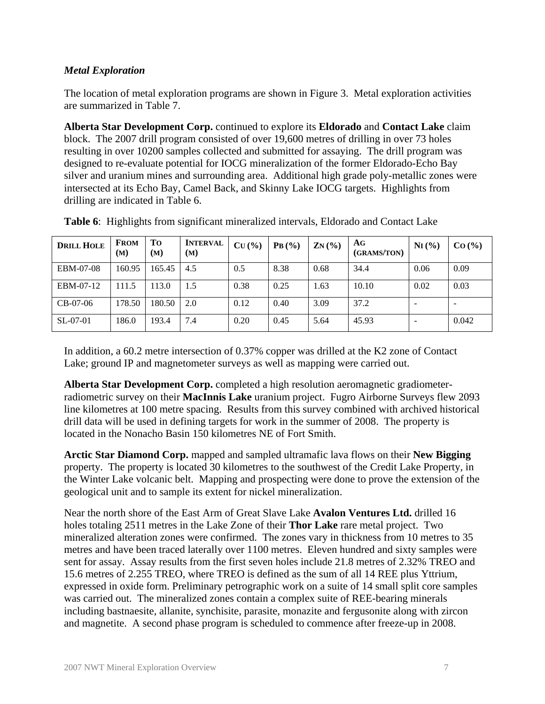## *Metal Exploration*

The location of metal exploration programs are shown in Figure 3. Metal exploration activities are summarized in Table 7.

**Alberta Star Development Corp.** continued to explore its **Eldorado** and **Contact Lake** claim block. The 2007 drill program consisted of over 19,600 metres of drilling in over 73 holes resulting in over 10200 samples collected and submitted for assaying. The drill program was designed to re-evaluate potential for IOCG mineralization of the former Eldorado-Echo Bay silver and uranium mines and surrounding area. Additional high grade poly-metallic zones were intersected at its Echo Bay, Camel Back, and Skinny Lake IOCG targets. Highlights from drilling are indicated in Table 6.

| <b>DRILL HOLE</b> | <b>FROM</b><br>(M) | Tо<br>(M) | <b>INTERVAL</b><br>(M) | CU(%) | PB(%) | $ZN($ %) | AG<br>(GRAMS/TON) | $N_I(\%)$ | CO (%)                   |
|-------------------|--------------------|-----------|------------------------|-------|-------|----------|-------------------|-----------|--------------------------|
| EBM-07-08         | 160.95             | 165.45    | 4.5                    | 0.5   | 8.38  | 0.68     | 34.4              | 0.06      | 0.09                     |
| EBM-07-12         | 111.5              | 113.0     | 1.5                    | 0.38  | 0.25  | 1.63     | 10.10             | 0.02      | 0.03                     |
| $CB-07-06$        | 178.50             | 180.50    | 2.0                    | 0.12  | 0.40  | 3.09     | 37.2              |           | $\overline{\phantom{a}}$ |
| $SL-07-01$        | 186.0              | 193.4     | 7.4                    | 0.20  | 0.45  | 5.64     | 45.93             |           | 0.042                    |

**Table 6**: Highlights from significant mineralized intervals, Eldorado and Contact Lake

In addition, a 60.2 metre intersection of 0.37% copper was drilled at the K2 zone of Contact Lake; ground IP and magnetometer surveys as well as mapping were carried out.

**Alberta Star Development Corp.** completed a high resolution aeromagnetic gradiometerradiometric survey on their **MacInnis Lake** uranium project. Fugro Airborne Surveys flew 2093 line kilometres at 100 metre spacing. Results from this survey combined with archived historical drill data will be used in defining targets for work in the summer of 2008. The property is located in the Nonacho Basin 150 kilometres NE of Fort Smith.

**Arctic Star Diamond Corp.** mapped and sampled ultramafic lava flows on their **New Bigging** property. The property is located 30 kilometres to the southwest of the Credit Lake Property, in the Winter Lake volcanic belt. Mapping and prospecting were done to prove the extension of the geological unit and to sample its extent for nickel mineralization.

Near the north shore of the East Arm of Great Slave Lake **Avalon Ventures Ltd.** drilled 16 holes totaling 2511 metres in the Lake Zone of their **Thor Lake** rare metal project. Two mineralized alteration zones were confirmed. The zones vary in thickness from 10 metres to 35 metres and have been traced laterally over 1100 metres. Eleven hundred and sixty samples were sent for assay. Assay results from the first seven holes include 21.8 metres of 2.32% TREO and 15.6 metres of 2.255 TREO, where TREO is defined as the sum of all 14 REE plus Yttrium, expressed in oxide form. Preliminary petrographic work on a suite of 14 small split core samples was carried out. The mineralized zones contain a complex suite of REE-bearing minerals including bastnaesite, allanite, synchisite, parasite, monazite and fergusonite along with zircon and magnetite. A second phase program is scheduled to commence after freeze-up in 2008.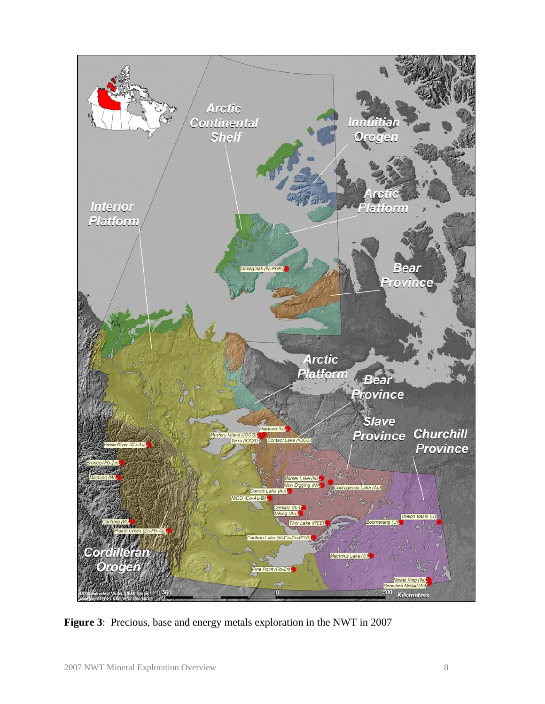

**Figure 3**: Precious, base and energy metals exploration in the NWT in 2007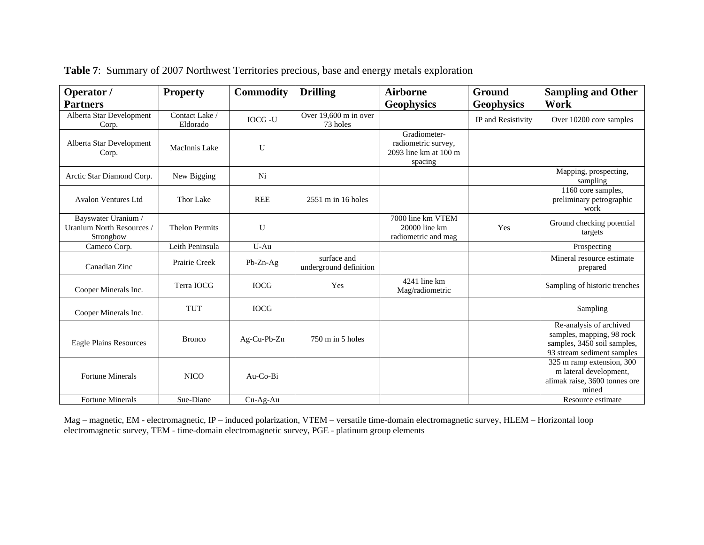| Operator /                                                  | <b>Property</b>            | <b>Commodity</b> | <b>Drilling</b>                       | <b>Airborne</b>                                                         | Ground             | <b>Sampling and Other</b>                                                                                         |
|-------------------------------------------------------------|----------------------------|------------------|---------------------------------------|-------------------------------------------------------------------------|--------------------|-------------------------------------------------------------------------------------------------------------------|
| <b>Partners</b>                                             |                            |                  |                                       | <b>Geophysics</b>                                                       | <b>Geophysics</b>  | Work                                                                                                              |
| Alberta Star Development<br>Corp.                           | Contact Lake /<br>Eldorado | <b>IOCG-U</b>    | Over 19,600 m in over<br>73 holes     |                                                                         | IP and Resistivity | Over 10200 core samples                                                                                           |
| Alberta Star Development<br>Corp.                           | MacInnis Lake              | U                |                                       | Gradiometer-<br>radiometric survey,<br>2093 line km at 100 m<br>spacing |                    |                                                                                                                   |
| Arctic Star Diamond Corp.                                   | New Bigging                | Ni               |                                       |                                                                         |                    | Mapping, prospecting,<br>sampling                                                                                 |
| <b>Avalon Ventures Ltd</b>                                  | Thor Lake                  | <b>REE</b>       | $2551$ m in 16 holes                  |                                                                         |                    | $\overline{1160}$ core samples,<br>preliminary petrographic<br>work                                               |
| Bayswater Uranium /<br>Uranium North Resources<br>Strongbow | <b>Thelon Permits</b>      | U                |                                       | 7000 line km VTEM<br>20000 line km<br>radiometric and mag               | Yes                | Ground checking potential<br>targets                                                                              |
| Cameco Corp.                                                | Leith Peninsula            | $U-Au$           |                                       |                                                                         |                    | Prospecting                                                                                                       |
| Canadian Zinc                                               | Prairie Creek              | $Pb-Zn-Ag$       | surface and<br>underground definition |                                                                         |                    | Mineral resource estimate<br>prepared                                                                             |
| Cooper Minerals Inc.                                        | Terra IOCG                 | <b>IOCG</b>      | Yes                                   | 4241 line km<br>Mag/radiometric                                         |                    | Sampling of historic trenches                                                                                     |
| Cooper Minerals Inc.                                        | <b>TUT</b>                 | <b>IOCG</b>      |                                       |                                                                         |                    | Sampling                                                                                                          |
| Eagle Plains Resources                                      | <b>Bronco</b>              | Ag-Cu-Pb-Zn      | $750 \text{ m}$ in 5 holes            |                                                                         |                    | Re-analysis of archived<br>samples, mapping, 98 rock<br>samples, 3450 soil samples,<br>93 stream sediment samples |
| <b>Fortune Minerals</b>                                     | <b>NICO</b>                | Au-Co-Bi         |                                       |                                                                         |                    | 325 m ramp extension, 300<br>m lateral development,<br>alimak raise, 3600 tonnes ore<br>mined                     |
| <b>Fortune Minerals</b>                                     | Sue-Diane                  | $Cu-Ag-Au$       |                                       |                                                                         |                    | Resource estimate                                                                                                 |

|  |  |  |  | <b>Table 7:</b> Summary of 2007 Northwest Territories precious, base and energy metals exploration |
|--|--|--|--|----------------------------------------------------------------------------------------------------|
|  |  |  |  |                                                                                                    |

Mag – magnetic, EM - electromagnetic, IP – induced polarization, VTEM – versatile time-domain electromagnetic survey, HLEM – Horizontal loop electromagnetic survey, TEM - time-domain electromagnetic survey, PGE - platinum group elements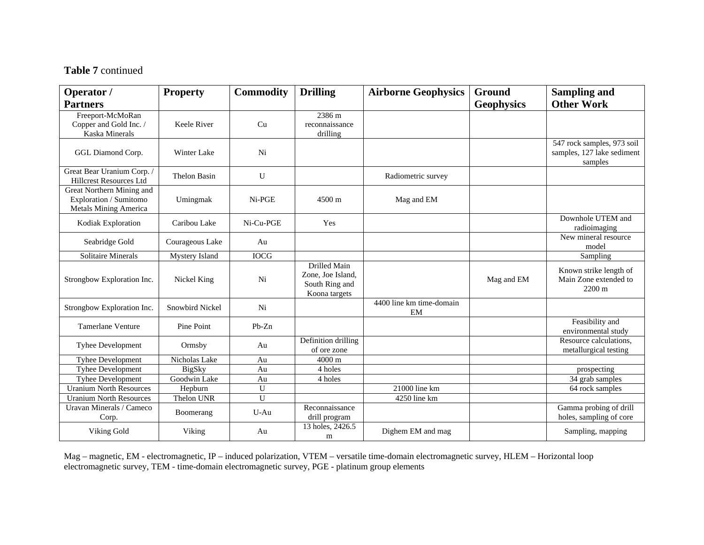#### **Table 7** continued

| Operator /                                                                          | <b>Property</b>     | <b>Commodity</b> | <b>Drilling</b>                                                             | <b>Airborne Geophysics</b>     | <b>Ground</b>     | <b>Sampling and</b>                                                 |
|-------------------------------------------------------------------------------------|---------------------|------------------|-----------------------------------------------------------------------------|--------------------------------|-------------------|---------------------------------------------------------------------|
| <b>Partners</b>                                                                     |                     |                  |                                                                             |                                | <b>Geophysics</b> | <b>Other Work</b>                                                   |
| Freeport-McMoRan<br>Copper and Gold Inc. /<br>Kaska Minerals                        | Keele River         | Cu               | 2386 m<br>reconnaissance<br>drilling                                        |                                |                   |                                                                     |
| GGL Diamond Corp.                                                                   | Winter Lake         | Ni               |                                                                             |                                |                   | 547 rock samples, 973 soil<br>samples, 127 lake sediment<br>samples |
| Great Bear Uranium Corp. /<br><b>Hillcrest Resources Ltd</b>                        | <b>Thelon Basin</b> | U                |                                                                             | Radiometric survey             |                   |                                                                     |
| Great Northern Mining and<br>Exploration / Sumitomo<br><b>Metals Mining America</b> | Umingmak            | Ni-PGE           | 4500 m                                                                      | Mag and EM                     |                   |                                                                     |
| Kodiak Exploration                                                                  | Caribou Lake        | Ni-Cu-PGE        | Yes                                                                         |                                |                   | Downhole UTEM and<br>radioimaging                                   |
| Seabridge Gold                                                                      | Courageous Lake     | Au               |                                                                             |                                |                   | New mineral resource<br>model                                       |
| Solitaire Minerals                                                                  | Mystery Island      | <b>IOCG</b>      |                                                                             |                                |                   | Sampling                                                            |
| Strongbow Exploration Inc.                                                          | Nickel King         | Ni               | <b>Drilled Main</b><br>Zone, Joe Island,<br>South Ring and<br>Koona targets |                                | Mag and EM        | Known strike length of<br>Main Zone extended to<br>2200 m           |
| Strongbow Exploration Inc.                                                          | Snowbird Nickel     | Ni               |                                                                             | 4400 line km time-domain<br>EM |                   |                                                                     |
| <b>Tamerlane Venture</b>                                                            | Pine Point          | $Pb-Zn$          |                                                                             |                                |                   | Feasibility and<br>environmental study                              |
| <b>Tyhee Development</b>                                                            | Ormsby              | Au               | Definition drilling<br>of ore zone                                          |                                |                   | Resource calculations,<br>metallurgical testing                     |
| Tyhee Development                                                                   | Nicholas Lake       | Au               | 4000 m                                                                      |                                |                   |                                                                     |
| <b>Tyhee Development</b>                                                            | <b>BigSky</b>       | Au               | 4 holes                                                                     |                                |                   | prospecting                                                         |
| Tyhee Development                                                                   | Goodwin Lake        | Au               | 4 holes                                                                     |                                |                   | 34 grab samples                                                     |
| <b>Uranium North Resources</b>                                                      | Hepburn             | U                |                                                                             | 21000 line km                  |                   | 64 rock samples                                                     |
| <b>Uranium North Resources</b>                                                      | Thelon UNR          | U                |                                                                             | 4250 line km                   |                   |                                                                     |
| Uravan Minerals / Cameco<br>Corp.                                                   | Boomerang           | $U-Au$           | Reconnaissance<br>drill program                                             |                                |                   | Gamma probing of drill<br>holes, sampling of core                   |
| Viking Gold                                                                         | Viking              | Au               | 13 holes, 2426.5<br>m                                                       | Dighem EM and mag              |                   | Sampling, mapping                                                   |

Mag – magnetic, EM - electromagnetic, IP – induced polarization, VTEM – versatile time-domain electromagnetic survey, HLEM – Horizontal loop electromagnetic survey, TEM - time-domain electromagnetic survey, PGE - platinum group elements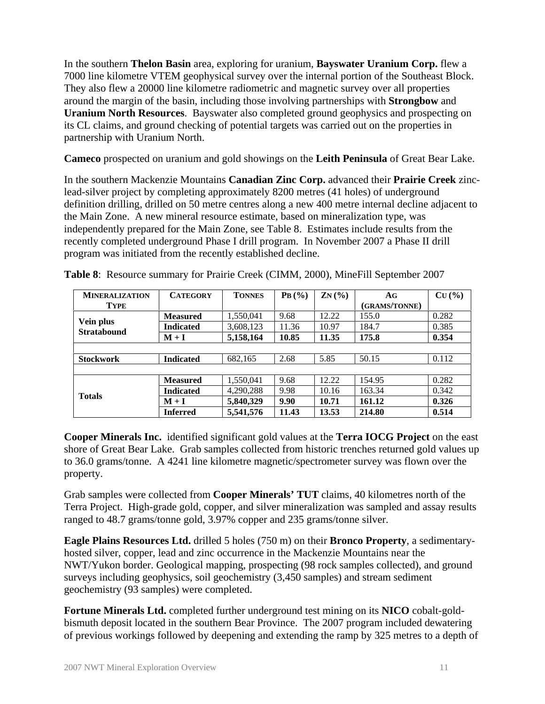In the southern **Thelon Basin** area, exploring for uranium, **Bayswater Uranium Corp.** flew a 7000 line kilometre VTEM geophysical survey over the internal portion of the Southeast Block. They also flew a 20000 line kilometre radiometric and magnetic survey over all properties around the margin of the basin, including those involving partnerships with **Strongbow** and **Uranium North Resources**. Bayswater also completed ground geophysics and prospecting on its CL claims, and ground checking of potential targets was carried out on the properties in partnership with Uranium North.

**Cameco** prospected on uranium and gold showings on the **Leith Peninsula** of Great Bear Lake.

In the southern Mackenzie Mountains **Canadian Zinc Corp.** advanced their **Prairie Creek** zinclead-silver project by completing approximately 8200 metres (41 holes) of underground definition drilling, drilled on 50 metre centres along a new 400 metre internal decline adjacent to the Main Zone. A new mineral resource estimate, based on mineralization type, was independently prepared for the Main Zone, see Table 8. Estimates include results from the recently completed underground Phase I drill program. In November 2007 a Phase II drill program was initiated from the recently established decline.

| <b>MINERALIZATION</b>           | <b>CATEGORY</b>  | <b>TONNES</b> | PB(%) | $ZN(\%)$ | AG            | CU(%) |
|---------------------------------|------------------|---------------|-------|----------|---------------|-------|
| <b>TYPE</b>                     |                  |               |       |          | (GRAMS/TONNE) |       |
|                                 | <b>Measured</b>  | 1,550,041     | 9.68  | 12.22    | 155.0         | 0.282 |
| Vein plus<br><b>Stratabound</b> | <b>Indicated</b> | 3,608,123     | 11.36 | 10.97    | 184.7         | 0.385 |
|                                 | $M + I$          | 5,158,164     | 10.85 | 11.35    | 175.8         | 0.354 |
|                                 |                  |               |       |          |               |       |
| <b>Stockwork</b>                | <b>Indicated</b> | 682,165       | 2.68  | 5.85     | 50.15         | 0.112 |
|                                 |                  |               |       |          |               |       |
|                                 | <b>Measured</b>  | 1,550,041     | 9.68  | 12.22    | 154.95        | 0.282 |
| <b>Totals</b>                   | <b>Indicated</b> | 4,290,288     | 9.98  | 10.16    | 163.34        | 0.342 |
|                                 | $M + I$          | 5,840,329     | 9.90  | 10.71    | 161.12        | 0.326 |
|                                 | <b>Inferred</b>  | 5,541,576     | 11.43 | 13.53    | 214.80        | 0.514 |

**Table 8**: Resource summary for Prairie Creek (CIMM, 2000), MineFill September 2007

**Cooper Minerals Inc.** identified significant gold values at the **Terra IOCG Project** on the east shore of Great Bear Lake. Grab samples collected from historic trenches returned gold values up to 36.0 grams/tonne. A 4241 line kilometre magnetic/spectrometer survey was flown over the property.

Grab samples were collected from **Cooper Minerals' TUT** claims, 40 kilometres north of the Terra Project. High-grade gold, copper, and silver mineralization was sampled and assay results ranged to 48.7 grams/tonne gold, 3.97% copper and 235 grams/tonne silver.

**Eagle Plains Resources Ltd.** drilled 5 holes (750 m) on their **Bronco Property**, a sedimentaryhosted silver, copper, lead and zinc occurrence in the Mackenzie Mountains near the NWT/Yukon border. Geological mapping, prospecting (98 rock samples collected), and ground surveys including geophysics, soil geochemistry (3,450 samples) and stream sediment geochemistry (93 samples) were completed.

**Fortune Minerals Ltd.** completed further underground test mining on its **NICO** cobalt-goldbismuth deposit located in the southern Bear Province. The 2007 program included dewatering of previous workings followed by deepening and extending the ramp by 325 metres to a depth of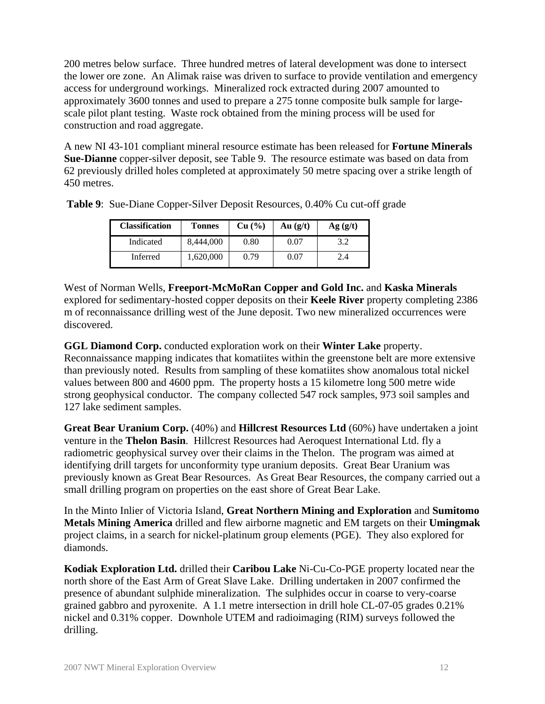200 metres below surface. Three hundred metres of lateral development was done to intersect the lower ore zone. An Alimak raise was driven to surface to provide ventilation and emergency access for underground workings. Mineralized rock extracted during 2007 amounted to approximately 3600 tonnes and used to prepare a 275 tonne composite bulk sample for largescale pilot plant testing. Waste rock obtained from the mining process will be used for construction and road aggregate.

A new NI 43-101 compliant mineral resource estimate has been released for **Fortune Minerals Sue-Dianne** copper-silver deposit, see Table 9. The resource estimate was based on data from 62 previously drilled holes completed at approximately 50 metre spacing over a strike length of 450 metres.

| <b>Classification</b> | Tonnes    | Cu (%) | Au(g/t) | Ag(g/t) |
|-----------------------|-----------|--------|---------|---------|
| Indicated             | 8,444,000 | 0.80   | 0.07    | 3.2     |
| Inferred              | ,620,000  | 0.79   | 0.07    | 2.4     |

**Table 9**: Sue-Diane Copper-Silver Deposit Resources, 0.40% Cu cut-off grade

West of Norman Wells, **Freeport-McMoRan Copper and Gold Inc.** and **Kaska Minerals** explored for sedimentary-hosted copper deposits on their **Keele River** property completing 2386 m of reconnaissance drilling west of the June deposit. Two new mineralized occurrences were discovered.

**GGL Diamond Corp.** conducted exploration work on their **Winter Lake** property. Reconnaissance mapping indicates that komatiites within the greenstone belt are more extensive than previously noted. Results from sampling of these komatiites show anomalous total nickel values between 800 and 4600 ppm. The property hosts a 15 kilometre long 500 metre wide strong geophysical conductor. The company collected 547 rock samples, 973 soil samples and 127 lake sediment samples.

**Great Bear Uranium Corp.** (40%) and **Hillcrest Resources Ltd** (60%) have undertaken a joint venture in the **Thelon Basin**. Hillcrest Resources had Aeroquest International Ltd. fly a radiometric geophysical survey over their claims in the Thelon. The program was aimed at identifying drill targets for unconformity type uranium deposits. Great Bear Uranium was previously known as Great Bear Resources. As Great Bear Resources, the company carried out a small drilling program on properties on the east shore of Great Bear Lake.

In the Minto Inlier of Victoria Island, **Great Northern Mining and Exploration** and **Sumitomo Metals Mining America** drilled and flew airborne magnetic and EM targets on their **Umingmak** project claims, in a search for nickel-platinum group elements (PGE). They also explored for diamonds.

**Kodiak Exploration Ltd.** drilled their **Caribou Lake** Ni-Cu-Co-PGE property located near the north shore of the East Arm of Great Slave Lake. Drilling undertaken in 2007 confirmed the presence of abundant sulphide mineralization. The sulphides occur in coarse to very-coarse grained gabbro and pyroxenite. A 1.1 metre intersection in drill hole CL-07-05 grades 0.21% nickel and 0.31% copper. Downhole UTEM and radioimaging (RIM) surveys followed the drilling.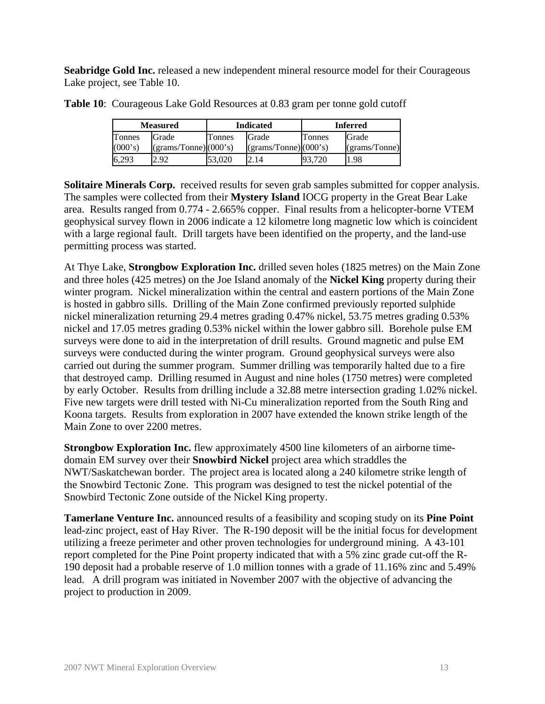**Seabridge Gold Inc.** released a new independent mineral resource model for their Courageous Lake project, see Table 10.

| <b>Measured</b> |                      |               | <b>Indicated</b>     | <b>Inferred</b> |                                                  |  |
|-----------------|----------------------|---------------|----------------------|-----------------|--------------------------------------------------|--|
| Tonnes          | Grade                | <b>Tonnes</b> | Grade                | Tonnes          | Grade                                            |  |
| (000's)         | (grams/Tomne)(000's) |               | (grams/Tomne)(000's) |                 | $\left( \frac{\text{grams}}{\text{Tom}} \right)$ |  |
| 6,293           | 2.92                 | 53,020        | 2.14                 | 93.720          | l.98                                             |  |

**Table 10**: Courageous Lake Gold Resources at 0.83 gram per tonne gold cutoff

**Solitaire Minerals Corp.** received results for seven grab samples submitted for copper analysis. The samples were collected from their **Mystery Island** IOCG property in the Great Bear Lake area. Results ranged from 0.774 - 2.665% copper. Final results from a helicopter-borne VTEM geophysical survey flown in 2006 indicate a 12 kilometre long magnetic low which is coincident with a large regional fault. Drill targets have been identified on the property, and the land-use permitting process was started.

At Thye Lake, **Strongbow Exploration Inc.** drilled seven holes (1825 metres) on the Main Zone and three holes (425 metres) on the Joe Island anomaly of the **Nickel King** property during their winter program. Nickel mineralization within the central and eastern portions of the Main Zone is hosted in gabbro sills. Drilling of the Main Zone confirmed previously reported sulphide nickel mineralization returning 29.4 metres grading 0.47% nickel, 53.75 metres grading 0.53% nickel and 17.05 metres grading 0.53% nickel within the lower gabbro sill. Borehole pulse EM surveys were done to aid in the interpretation of drill results. Ground magnetic and pulse EM surveys were conducted during the winter program. Ground geophysical surveys were also carried out during the summer program. Summer drilling was temporarily halted due to a fire that destroyed camp. Drilling resumed in August and nine holes (1750 metres) were completed by early October. Results from drilling include a 32.88 metre intersection grading 1.02% nickel. Five new targets were drill tested with Ni-Cu mineralization reported from the South Ring and Koona targets. Results from exploration in 2007 have extended the known strike length of the Main Zone to over 2200 metres.

**Strongbow Exploration Inc.** flew approximately 4500 line kilometers of an airborne timedomain EM survey over their **Snowbird Nickel** project area which straddles the NWT/Saskatchewan border. The project area is located along a 240 kilometre strike length of the Snowbird Tectonic Zone. This program was designed to test the nickel potential of the Snowbird Tectonic Zone outside of the Nickel King property.

**Tamerlane Venture Inc.** announced results of a feasibility and scoping study on its **Pine Point**  lead-zinc project, east of Hay River. The R-190 deposit will be the initial focus for development utilizing a freeze perimeter and other proven technologies for underground mining. A 43-101 report completed for the Pine Point property indicated that with a 5% zinc grade cut-off the R-190 deposit had a probable reserve of 1.0 million tonnes with a grade of 11.16% zinc and 5.49% lead. A drill program was initiated in November 2007 with the objective of advancing the project to production in 2009.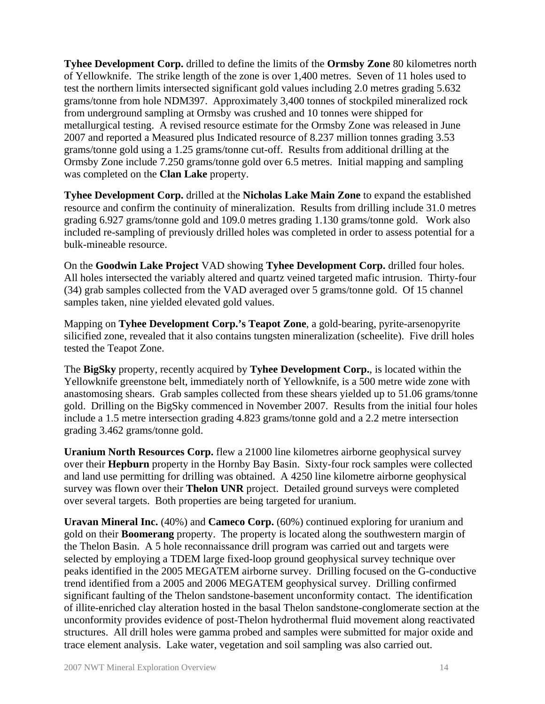**Tyhee Development Corp.** drilled to define the limits of the **Ormsby Zone** 80 kilometres north of Yellowknife. The strike length of the zone is over 1,400 metres. Seven of 11 holes used to test the northern limits intersected significant gold values including 2.0 metres grading 5.632 grams/tonne from hole NDM397. Approximately 3,400 tonnes of stockpiled mineralized rock from underground sampling at Ormsby was crushed and 10 tonnes were shipped for metallurgical testing. A revised resource estimate for the Ormsby Zone was released in June 2007 and reported a Measured plus Indicated resource of 8.237 million tonnes grading 3.53 grams/tonne gold using a 1.25 grams/tonne cut-off. Results from additional drilling at the Ormsby Zone include 7.250 grams/tonne gold over 6.5 metres. Initial mapping and sampling was completed on the **Clan Lake** property.

**Tyhee Development Corp.** drilled at the **Nicholas Lake Main Zone** to expand the established resource and confirm the continuity of mineralization. Results from drilling include 31.0 metres grading 6.927 grams/tonne gold and 109.0 metres grading 1.130 grams/tonne gold. Work also included re-sampling of previously drilled holes was completed in order to assess potential for a bulk-mineable resource.

On the **Goodwin Lake Project** VAD showing **Tyhee Development Corp.** drilled four holes. All holes intersected the variably altered and quartz veined targeted mafic intrusion. Thirty-four (34) grab samples collected from the VAD averaged over 5 grams/tonne gold. Of 15 channel samples taken, nine yielded elevated gold values.

Mapping on **Tyhee Development Corp.'s Teapot Zone**, a gold-bearing, pyrite-arsenopyrite silicified zone, revealed that it also contains tungsten mineralization (scheelite). Five drill holes tested the Teapot Zone.

The **BigSky** property, recently acquired by **Tyhee Development Corp.**, is located within the Yellowknife greenstone belt, immediately north of Yellowknife, is a 500 metre wide zone with anastomosing shears. Grab samples collected from these shears yielded up to 51.06 grams/tonne gold. Drilling on the BigSky commenced in November 2007. Results from the initial four holes include a 1.5 metre intersection grading 4.823 grams/tonne gold and a 2.2 metre intersection grading 3.462 grams/tonne gold.

**Uranium North Resources Corp.** flew a 21000 line kilometres airborne geophysical survey over their **Hepburn** property in the Hornby Bay Basin. Sixty-four rock samples were collected and land use permitting for drilling was obtained. A 4250 line kilometre airborne geophysical survey was flown over their **Thelon UNR** project. Detailed ground surveys were completed over several targets. Both properties are being targeted for uranium.

**Uravan Mineral Inc.** (40%) and **Cameco Corp.** (60%) continued exploring for uranium and gold on their **Boomerang** property. The property is located along the southwestern margin of the Thelon Basin. A 5 hole reconnaissance drill program was carried out and targets were selected by employing a TDEM large fixed-loop ground geophysical survey technique over peaks identified in the 2005 MEGATEM airborne survey. Drilling focused on the G-conductive trend identified from a 2005 and 2006 MEGATEM geophysical survey. Drilling confirmed significant faulting of the Thelon sandstone-basement unconformity contact. The identification of illite-enriched clay alteration hosted in the basal Thelon sandstone-conglomerate section at the unconformity provides evidence of post-Thelon hydrothermal fluid movement along reactivated structures. All drill holes were gamma probed and samples were submitted for major oxide and trace element analysis. Lake water, vegetation and soil sampling was also carried out.